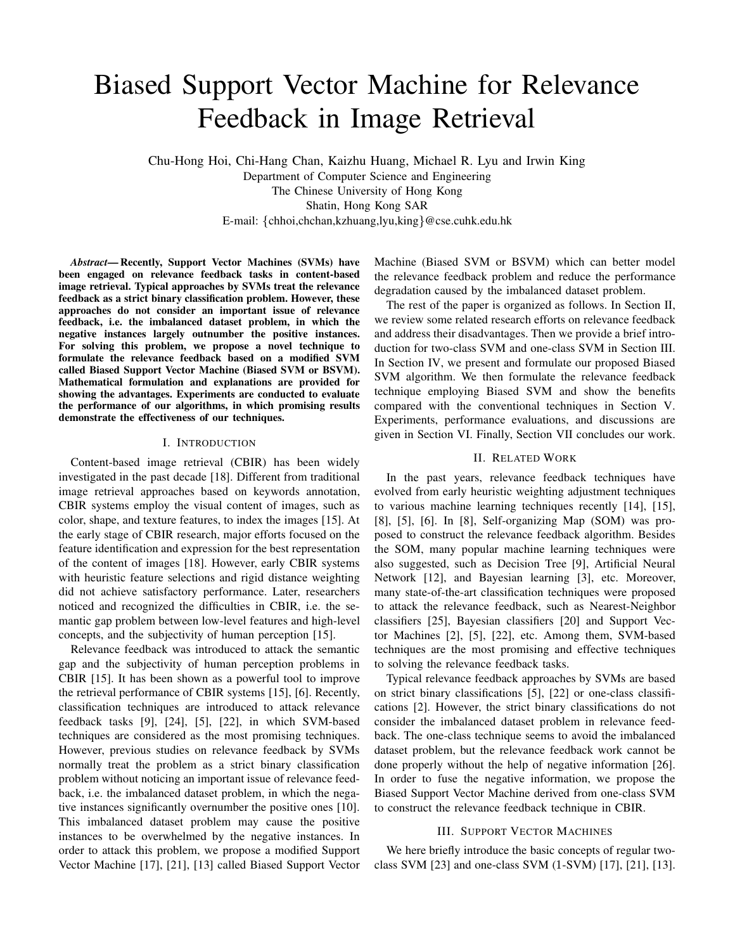# Biased Support Vector Machine for Relevance Feedback in Image Retrieval

Chu-Hong Hoi, Chi-Hang Chan, Kaizhu Huang, Michael R. Lyu and Irwin King Department of Computer Science and Engineering The Chinese University of Hong Kong Shatin, Hong Kong SAR E-mail: {chhoi,chchan,kzhuang,lyu,king}@cse.cuhk.edu.hk

*Abstract***— Recently, Support Vector Machines (SVMs) have been engaged on relevance feedback tasks in content-based image retrieval. Typical approaches by SVMs treat the relevance feedback as a strict binary classification problem. However, these approaches do not consider an important issue of relevance feedback, i.e. the imbalanced dataset problem, in which the negative instances largely outnumber the positive instances. For solving this problem, we propose a novel technique to formulate the relevance feedback based on a modified SVM called Biased Support Vector Machine (Biased SVM or BSVM). Mathematical formulation and explanations are provided for showing the advantages. Experiments are conducted to evaluate the performance of our algorithms, in which promising results demonstrate the effectiveness of our techniques.**

#### I. INTRODUCTION

Content-based image retrieval (CBIR) has been widely investigated in the past decade [18]. Different from traditional image retrieval approaches based on keywords annotation, CBIR systems employ the visual content of images, such as color, shape, and texture features, to index the images [15]. At the early stage of CBIR research, major efforts focused on the feature identification and expression for the best representation of the content of images [18]. However, early CBIR systems with heuristic feature selections and rigid distance weighting did not achieve satisfactory performance. Later, researchers noticed and recognized the difficulties in CBIR, i.e. the semantic gap problem between low-level features and high-level concepts, and the subjectivity of human perception [15].

Relevance feedback was introduced to attack the semantic gap and the subjectivity of human perception problems in CBIR [15]. It has been shown as a powerful tool to improve the retrieval performance of CBIR systems [15], [6]. Recently, classification techniques are introduced to attack relevance feedback tasks [9], [24], [5], [22], in which SVM-based techniques are considered as the most promising techniques. However, previous studies on relevance feedback by SVMs normally treat the problem as a strict binary classification problem without noticing an important issue of relevance feedback, i.e. the imbalanced dataset problem, in which the negative instances significantly overnumber the positive ones [10]. This imbalanced dataset problem may cause the positive instances to be overwhelmed by the negative instances. In order to attack this problem, we propose a modified Support Vector Machine [17], [21], [13] called Biased Support Vector Machine (Biased SVM or BSVM) which can better model the relevance feedback problem and reduce the performance degradation caused by the imbalanced dataset problem.

The rest of the paper is organized as follows. In Section II, we review some related research efforts on relevance feedback and address their disadvantages. Then we provide a brief introduction for two-class SVM and one-class SVM in Section III. In Section IV, we present and formulate our proposed Biased SVM algorithm. We then formulate the relevance feedback technique employing Biased SVM and show the benefits compared with the conventional techniques in Section V. Experiments, performance evaluations, and discussions are given in Section VI. Finally, Section VII concludes our work.

#### II. RELATED WORK

In the past years, relevance feedback techniques have evolved from early heuristic weighting adjustment techniques to various machine learning techniques recently [14], [15], [8], [5], [6]. In [8], Self-organizing Map (SOM) was proposed to construct the relevance feedback algorithm. Besides the SOM, many popular machine learning techniques were also suggested, such as Decision Tree [9], Artificial Neural Network [12], and Bayesian learning [3], etc. Moreover, many state-of-the-art classification techniques were proposed to attack the relevance feedback, such as Nearest-Neighbor classifiers [25], Bayesian classifiers [20] and Support Vector Machines [2], [5], [22], etc. Among them, SVM-based techniques are the most promising and effective techniques to solving the relevance feedback tasks.

Typical relevance feedback approaches by SVMs are based on strict binary classifications [5], [22] or one-class classifications [2]. However, the strict binary classifications do not consider the imbalanced dataset problem in relevance feedback. The one-class technique seems to avoid the imbalanced dataset problem, but the relevance feedback work cannot be done properly without the help of negative information [26]. In order to fuse the negative information, we propose the Biased Support Vector Machine derived from one-class SVM to construct the relevance feedback technique in CBIR.

# III. SUPPORT VECTOR MACHINES

We here briefly introduce the basic concepts of regular twoclass SVM  $[23]$  and one-class SVM  $(1-SVM)$   $[17]$ ,  $[21]$ ,  $[13]$ .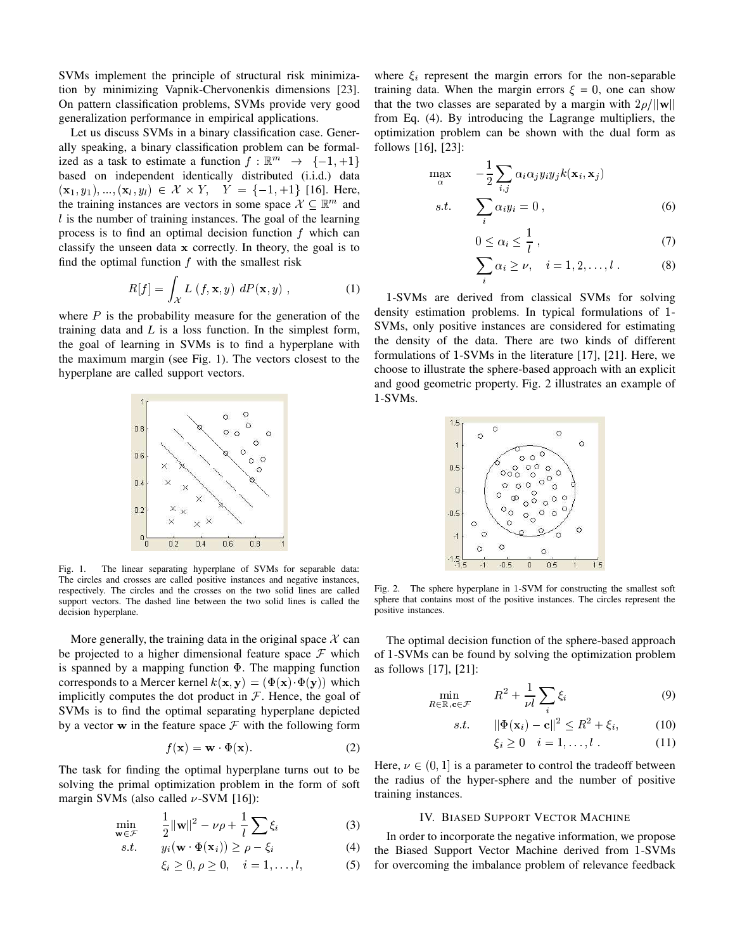SVMs implement the principle of structural risk minimization by minimizing Vapnik-Chervonenkis dimensions [23]. On pattern classification problems, SVMs provide very good generalization performance in empirical applications.

Let us discuss SVMs in a binary classification case. Generally speaking, a binary classification problem can be formalized as a task to estimate a function  $f : \mathbb{R}^m \to \{-1, +1\}$ based on independent identically distributed (i.i.d.) data  $({\bf x}_1, y_1), ..., ({\bf x}_l, y_l) \in \mathcal{X} \times Y, \quad Y = \{-1, +1\}$  [16]. Here, the training instances are vectors in some space  $\mathcal{X} \subseteq \mathbb{R}^m$  and  $l$  is the number of training instances. The goal of the learning process is to find an optimal decision function  $f$  which can classify the unseen data  $x$  correctly. In theory, the goal is to find the optimal function  $f$  with the smallest risk

$$
R[f] = \int_{\mathcal{X}} L(f, \mathbf{x}, y) \, dP(\mathbf{x}, y) \,, \tag{1}
$$

where  $P$  is the probability measure for the generation of the training data and *L* is a loss function. In the simplest form, the goal of learning in SVMs is to find a hyperplane with the maximum margin (see Fig. 1). The vectors closest to the hyperplane are called support vectors.



Fig. 1. The linear separating hyperplane of SVMs for separable data: The circles and crosses are called positive instances and negative instances, respectively. The circles and the crosses on the two solid lines are called support vectors. The dashed line between the two solid lines is called the decision hyperplane.

More generally, the training data in the original space  $\mathcal X$  can The be projected to a higher dimensional feature space  $\mathcal F$  which is spanned by a mapping function  $\Phi$ . The mapping function corresponds to a Mercer kernel  $k(\mathbf{x}, \mathbf{y}) = (\Phi(\mathbf{x}) \cdot \Phi(\mathbf{y}))$  which implicitly computes the dot product in  $\mathcal F$ . Hence, the goal of SVMs is to find the optimal separating hyperplane depicted by a vector w in the feature space  $\mathcal F$  with the following form

$$
f(\mathbf{x}) = \mathbf{w} \cdot \Phi(\mathbf{x}).\tag{2}
$$

The task for finding the optimal hyperplane turns out to be solving the primal optimization problem in the form of soft margin SVMs (also called  $\nu$ -SVM [16]):

$$
\min_{\mathbf{w}\in\mathcal{F}} \qquad \frac{1}{2} \|\mathbf{w}\|^2 - \nu \rho + \frac{1}{l} \sum \xi_i \tag{3}
$$

$$
s.t. \t y_i(\mathbf{w} \cdot \Phi(\mathbf{x}_i)) \ge \rho - \xi_i \t (4)
$$

$$
\xi_i \geq 0, \rho \geq 0, \quad i = 1, ..., l,
$$
 (5)

where  $\xi_i$  represent the margin errors for the non-separable training data. When the margin errors  $\xi = 0$ , one can show that the two classes are separated by a margin with  $2\rho/\|\mathbf{w}\|$ from Eq. (4). By introducing the Lagrange multipliers, the optimization problem can be shown with the dual form as follows [16], [23]:

$$
\max_{\alpha} \qquad -\frac{1}{2} \sum_{i,j} \alpha_i \alpha_j y_i y_j k(\mathbf{x}_i, \mathbf{x}_j)
$$
\n
$$
s.t. \qquad \sum_{i} \alpha_i y_i = 0 , \qquad (6)
$$

$$
0 \le \alpha_i \le \frac{1}{l} \,,\tag{7}
$$

$$
\sum_{i} \alpha_i \ge \nu, \quad i = 1, 2, \dots, l \tag{8}
$$

1-SVMs are derived from classical SVMs for solving density estimation problems. In typical formulations of 1-SVMs, only positive instances are considered for estimating the density of the data. There are two kinds of different formulations of 1-SVMs in the literature [17], [21]. Here, we choose to illustrate the sphere-based approach with an explicit and good geometric property. Fig. 2 illustrates an example of - -SVMs.



Fig. 2. The sphere hyperplane in 1-SVM for constructing the smallest soft sphere that contains most of the positive instances. The circles represent the positive instances.

The optimal decision function of the sphere-based approach of 1-SVMs can be found by solving the optimization problem as follows [17], [21]:

$$
\min_{R \in \mathbb{R}, \mathbf{c} \in \mathcal{F}} \qquad R^2 + \frac{1}{\nu l} \sum_{i} \xi_i \tag{9}
$$

$$
s.t. \qquad \|\Phi(\mathbf{x}_i) - \mathbf{c}\|^2 \le R^2 + \xi_i,
$$
 (10)

$$
\xi_i \ge 0 \quad i = 1, \dots, l \tag{11}
$$

Here,  $\nu \in (0,1]$  is a parameter to control the tradeoff between the radius of the hyper-sphere and the number of positive training instances.

## IV. BIASED SUPPORT VECTOR MACHINE

In order to incorporate the negative information, we propose the Biased Support Vector Machine derived from 1-SVMs for overcoming the imbalance problem of relevance feedback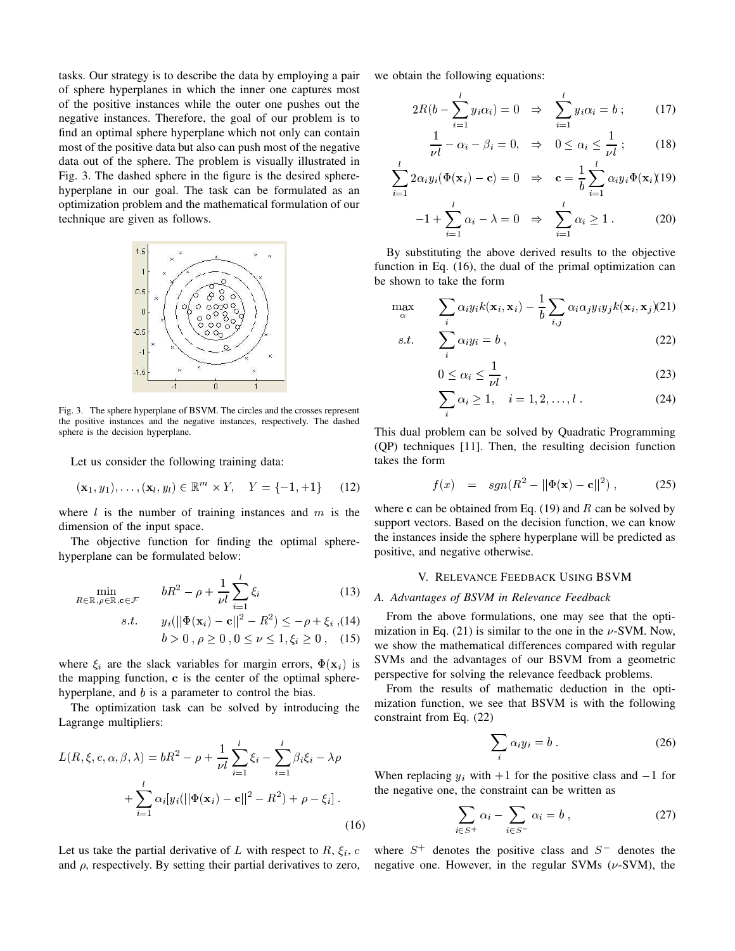tasks. Our strategy is to describe the data by employing a pair of sphere hyperplanes in which the inner one captures most of the positive instances while the outer one pushes out the negative instances. Therefore, the goal of our problem is to find an optimal sphere hyperplane which not only can contain most of the positive data but also can push most of the negative data out of the sphere. The problem is visually illustrated in Fig. 3. The dashed sphere in the figure is the desired spherehyperplane in our goal. The task can be formulated as an optimization problem and the mathematical formulation of our technique are given as follows.



Fig. 3. The sphere hyperplane of BSVM. The circles and the crosses represent the positive instances and the negative instances, respectively. The dashed sphere is the decision hyperplane.

Let us consider the following training data:

$$
(\mathbf{x}_1, y_1), \ldots, (\mathbf{x}_l, y_l) \in \mathbb{R}^m \times Y, \quad Y = \{-1, +1\}
$$
 (12)

where l is the number of training instances and m is the  $\mu$ <sup>Whe</sup> dimension of the input space.

The objective function for finding the optimal spherehyperplane can be formulated below:

$$
\min_{R \in \mathbb{R}, \rho \in \mathbb{R}, c \in \mathcal{F}} \qquad bR^2 - \rho + \frac{1}{\nu l} \sum_{i=1}^{l} \xi_i \tag{13}
$$

s.t. 
$$
y_i(||\Phi(\mathbf{x}_i) - \mathbf{c}||^2 - R^2) \le -\rho + \xi_i
$$
, (14)

$$
b > 0, \rho \ge 0, 0 \le \nu \le 1, \xi_i \ge 0, \quad (15)
$$

where  $\xi_i$  are the slack variables for margin errors,  $\Phi(\mathbf{x}_i)$  is  $\mathbf{S}^{\mathsf{T}}$ the mapping function,  $c$  is the center of the optimal spherehyperplane, and  $b$  is a parameter to control the bias.

The optimization task can be solved by introducing the Lagrange multipliers:

$$
L(R, \xi, c, \alpha, \beta, \lambda) = bR^2 - \rho + \frac{1}{\nu l} \sum_{i=1}^{l} \xi_i - \sum_{i=1}^{l} \beta_i \xi_i - \lambda \rho
$$
  
When  

$$
+ \sum_{i=1}^{l} \alpha_i [y_i (||\Phi(\mathbf{x}_i) - \mathbf{c}||^2 - R^2) + \rho - \xi_i].
$$

we obtain the following equations:

$$
2R(b - \sum_{i=1}^{l} y_i \alpha_i) = 0 \quad \Rightarrow \quad \sum_{i=1}^{l} y_i \alpha_i = b \tag{17}
$$

$$
\frac{1}{\nu l} - \alpha_i - \beta_i = 0, \Rightarrow 0 \le \alpha_i \le \frac{1}{\nu l} ; \quad (18)
$$

$$
\sum_{i=1}^{l} 2\alpha_i y_i (\Phi(\mathbf{x}_i) - \mathbf{c}) = 0 \quad \Rightarrow \quad \mathbf{c} = \frac{1}{b} \sum_{i=1}^{l} \alpha_i y_i \Phi(\mathbf{x}_i) (19)
$$

$$
-1 + \sum_{i=1}^{l} \alpha_i - \lambda = 0 \Rightarrow \sum_{i=1}^{l} \alpha_i \ge 1. \tag{20}
$$

By substituting the above derived results to the objective function in Eq. (16), the dual of the primal optimization can be shown to take the form

$$
\max_{\alpha} \qquad \sum_{i} \alpha_i y_i k(\mathbf{x}_i, \mathbf{x}_i) - \frac{1}{b} \sum_{i,j} \alpha_i \alpha_j y_i y_j k(\mathbf{x}_i, \mathbf{x}_j) (21)
$$

$$
s.t. \qquad \sum_{i} \alpha_i y_i = b \tag{22}
$$

$$
0 \le \alpha_i \le \frac{1}{\nu l} \,,\tag{23}
$$

$$
\sum_{i} \alpha_i \ge 1, \quad i = 1, 2, \dots, l \tag{24}
$$

This dual problem can be solved by Quadratic Programming (QP) techniques [11]. Then, the resulting decision function takes the form

$$
f(x) = sgn(R^2 - ||\Phi(x) - c||^2), \qquad (25)
$$

where c can be obtained from Eq. (19) and  $R$  can be solved by support vectors. Based on the decision function, we can know the instances inside the sphere hyperplane will be predicted as positive, and negative otherwise.

## V. RELEVANCE FEEDBACK USING BSVM

#### *A. Advantages of BSVM in Relevance Feedback*

From the above formulations, one may see that the optimization in Eq.  $(21)$  is similar to the one in the  $\nu$ -SVM. Now, we show the mathematical differences compared with regular SVMs and the advantages of our BSVM from a geometric perspective for solving the relevance feedback problems.

From the results of mathematic deduction in the optimization function, we see that BSVM is with the following constraint from Eq. (22)

$$
\sum_{i} \alpha_{i} y_{i} = b . \qquad (26)
$$

When replacing  $y_i$  with  $+1$  for the positive class and  $-1$  for the negative one, the constraint can be written as

$$
\sum_{i \in S^+} \alpha_i - \sum_{i \in S^-} \alpha_i = b \tag{27}
$$

Let us take the partial derivative of L with respect to R,  $\xi_i$ , c where  $S^+$  denotes the positive class and  $S^-$  denotes the and  $\rho$ , respectively. By setting their partial derivatives to zero, negative one. However, in the regular SVMs ( $\nu$ -SVM), the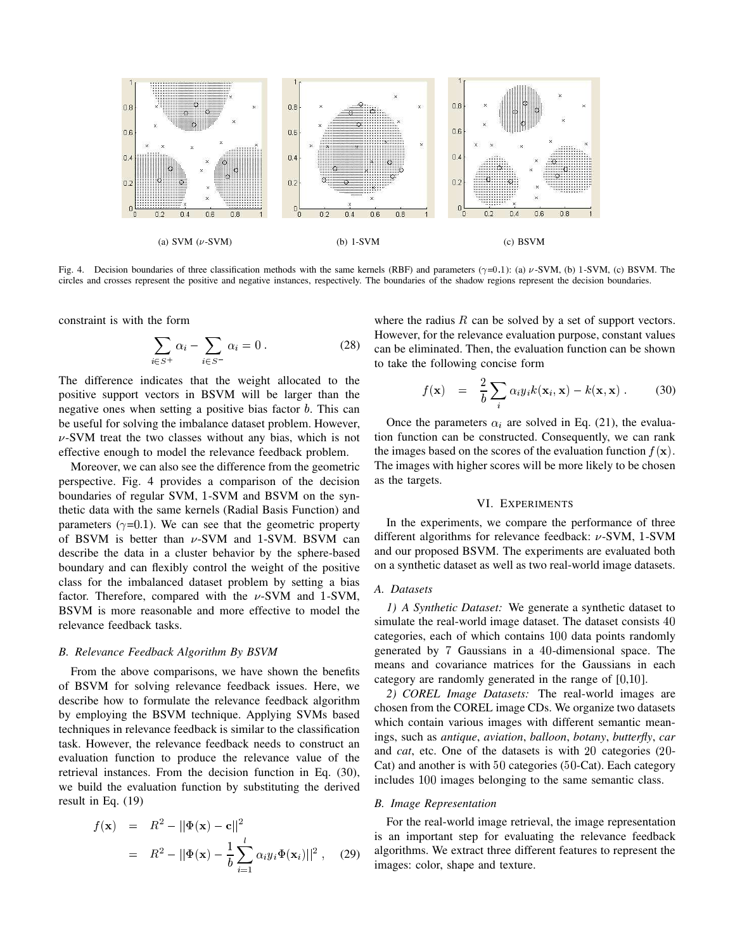

Fig. 4. Decision boundaries of three classification methods with the same kernels (RBF) and parameters ( $\gamma$ =0.1): (a)  $\nu$ -SVM, (b) 1-SVM, (c) BSVM. The circles and crosses represent the positive and negative instances, respectively. The boundaries of the shadow regions represent the decision boundaries.

constraint is with the form

$$
\sum_{i \in S^+} \alpha_i - \sum_{i \in S^-} \alpha_i = 0 \tag{28}
$$

The difference indicates that the weight allocated to the positive support vectors in BSVM will be larger than the negative ones when setting a positive bias factor  $b$ . This can be useful for solving the imbalance dataset problem. However,  $\nu$ -SVM treat the two classes without any bias, which is not effective enough to model the relevance feedback problem.

Moreover, we can also see the difference from the geometric perspective. Fig. 4 provides a comparison of the decision boundaries of regular SVM, 1-SVM and BSVM on the synthetic data with the same kernels (Radial Basis Function) and parameters ( $\gamma$ =0.1). We can see that the geometric property of BSVM is better than  $\nu$ -SVM and 1-SVM. BSVM can describe the data in a cluster behavior by the sphere-based boundary and can flexibly control the weight of the positive class for the imbalanced dataset problem by setting a bias factor. Therefore, compared with the  $\nu$ -SVM and 1-SVM, BSVM is more reasonable and more effective to model the relevance feedback tasks.

# *B. Relevance Feedback Algorithm By BSVM*

From the above comparisons, we have shown the benefits of BSVM for solving relevance feedback issues. Here, we describe how to formulate the relevance feedback algorithm by employing the BSVM technique. Applying SVMs based techniques in relevance feedback is similar to the classification task. However, the relevance feedback needs to construct an evaluation function to produce the relevance value of the retrieval instances. From the decision function in Eq. (30), we build the evaluation function by substituting the derived result in Eq. (19)

$$
f(\mathbf{x}) = R^2 - ||\Phi(\mathbf{x}) - \mathbf{c}||^2
$$
  
=  $R^2 - ||\Phi(\mathbf{x}) - \frac{1}{b} \sum_{i=1}^{l} \alpha_i y_i \Phi(\mathbf{x}_i)||^2$ , (29)

where the radius  $R$  can be solved by a set of support vectors. However, for the relevance evaluation purpose, constant values can be eliminated. Then, the evaluation function can be shown to take the following concise form

$$
f(\mathbf{x}) = \frac{2}{b} \sum_{i} \alpha_i y_i k(\mathbf{x}_i, \mathbf{x}) - k(\mathbf{x}, \mathbf{x}) \,. \tag{30}
$$

Once the parameters  $\alpha_i$  are solved in Eq. (21), the evaluation function can be constructed. Consequently, we can rank the images based on the scores of the evaluation function  $f(\mathbf{x})$ . The images with higher scores will be more likely to be chosen as the targets.

## VI. EXPERIMENTS

In the experiments, we compare the performance of three different algorithms for relevance feedback:  $\nu$ -SVM, 1-SVM and our proposed BSVM. The experiments are evaluated both on a synthetic dataset as well as two real-world image datasets.

### *A. Datasets*

*1) A Synthetic Dataset:* We generate a synthetic dataset to simulate the real-world image dataset. The dataset consists 40 categories, each of which contains 100 data points randomly generated by 7 Gaussians in a 40-dimensional space. The means and covariance matrices for the Gaussians in each category are randomly generated in the range of  $[0,10]$ .

*2) COREL Image Datasets:* The real-world images are chosen from the COREL image CDs. We organize two datasets which contain various images with different semantic meanings, such as *antique*, *aviation*, *balloon*, *botany*, *butterfly*, *car* and *cat*, etc. One of the datasets is with 20 categories (20-Cat) and another is with 50 categories (50-Cat). Each category includes 100 images belonging to the same semantic class.

## *B. Image Representation*

For the real-world image retrieval, the image representation is an important step for evaluating the relevance feedback algorithms. We extract three different features to represent the images: color, shape and texture.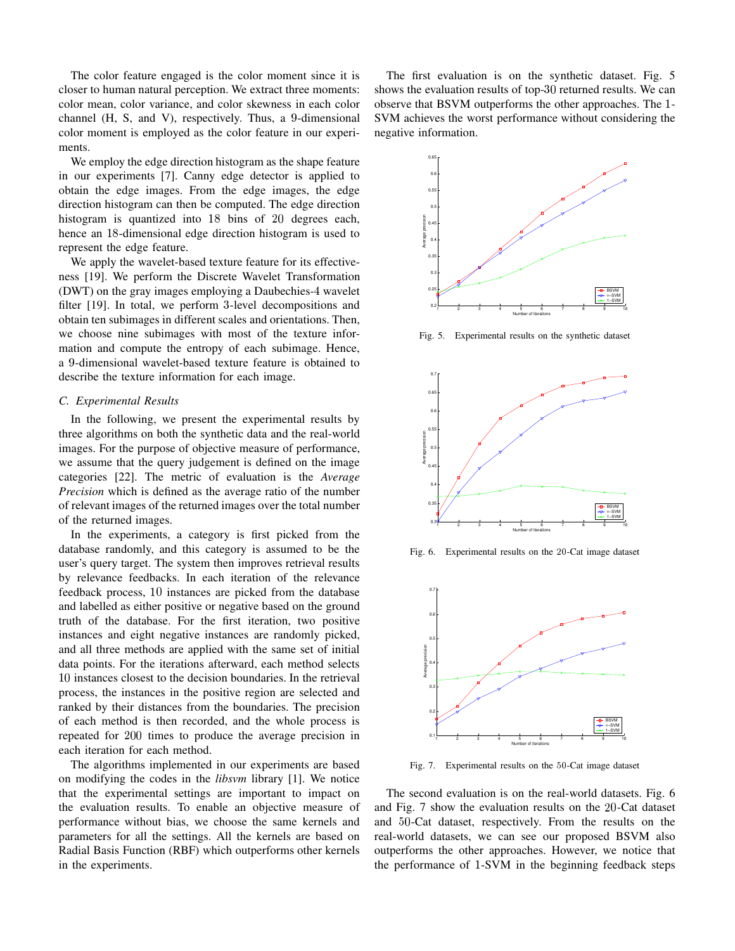The color feature engaged is the color moment since it is closer to human natural perception. We extract three moments: color mean, color variance, and color skewness in each color channel (H, S, and V), respectively. Thus, a  $9$ -dimensional color moment is employed as the color feature in our experiments.

We employ the edge direction histogram as the shape feature in our experiments [7]. Canny edge detector is applied to obtain the edge images. From the edge images, the edge direction histogram can then be computed. The edge direction histogram is quantized into 18 bins of 20 degrees each, hence an 18-dimensional edge direction histogram is used to represent the edge feature.

We apply the wavelet-based texture feature for its effectiveness [19]. We perform the Discrete Wavelet Transformation (DWT) on the gray images employing a Daubechies-4 wavelet filter [19]. In total, we perform 3-level decompositions and obtain ten subimages in different scales and orientations. Then, we choose nine subimages with most of the texture information and compute the entropy of each subimage. Hence, a 9-dimensional wavelet-based texture feature is obtained to describe the texture information for each image.

## *C. Experimental Results*

In the following, we present the experimental results by three algorithms on both the synthetic data and the real-world images. For the purpose of objective measure of performance, we assume that the query judgement is defined on the image categories [22]. The metric of evaluation is the *Average Precision* which is defined as the average ratio of the number of relevant images of the returned images over the total number of the returned images.

In the experiments, a category is first picked from the database randomly, and this category is assumed to be the user's query target. The system then improves retrieval results by relevance feedbacks. In each iteration of the relevance feedback process, 10 instances are picked from the database and labelled as either positive or negative based on the ground truth of the database. For the first iteration, two positive instances and eight negative instances are randomly picked, and all three methods are applied with the same set of initial data points. For the iterations afterward, each method selects 10 instances closest to the decision boundaries. In the retrieval process, the instances in the positive region are selected and ranked by their distances from the boundaries. The precision of each method is then recorded, and the whole process is repeated for 200 times to produce the average precision in each iteration for each method.

The algorithms implemented in our experiments are based on modifying the codes in the *libsvm* library [1]. We notice that the experimental settings are important to impact on the evaluation results. To enable an objective measure of performance without bias, we choose the same kernels and parameters for all the settings. All the kernels are based on Radial Basis Function (RBF) which outperforms other kernels in the experiments.

The first evaluation is on the synthetic dataset. Fig. 5 shows the evaluation results of top-30 returned results. We can observe that BSVM outperforms the other approaches. The 1-SVM achieves the worst performance without considering the negative information.



Fig. 5. Experimental results on the synthetic dataset



Fig. 6. Experimental results on the 20-Cat image dataset



Fig. 7. Experimental results on the 50-Cat image dataset

The second evaluation is on the real-world datasets. Fig. 6 and Fig. 7 show the evaluation results on the 20-Cat dataset and 50-Cat dataset, respectively. From the results on the real-world datasets, we can see our proposed BSVM also outperforms the other approaches. However, we notice that the performance of 1-SVM in the beginning feedback steps